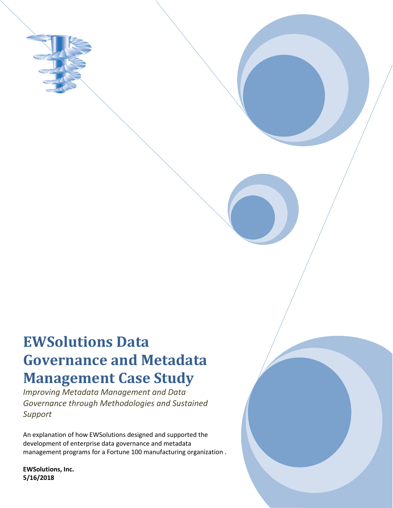

# **EWSolutions Data Governance and Metadata Management Case Study**

*Improving Metadata Management and Data Governance through Methodologies and Sustained Support*

An explanation of how EWSolutions designed and supported the development of enterprise data governance and metadata management programs for a Fortune 100 manufacturing organization .

**EWSolutions, Inc. 5/16/2018**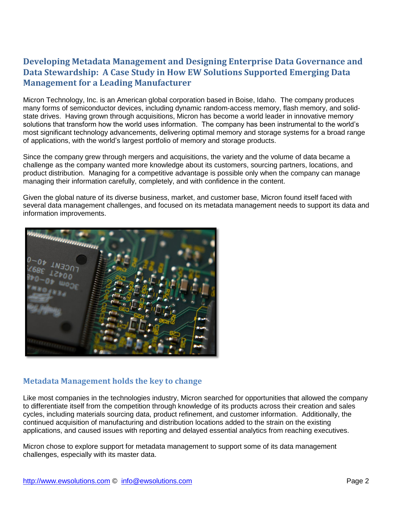# **Developing Metadata Management and Designing Enterprise Data Governance and Data Stewardship: A Case Study in How EW Solutions Supported Emerging Data Management for a Leading Manufacturer**

Micron Technology, Inc. is an American global corporation based in Boise, Idaho. The company produces many forms of semiconductor devices, including dynamic random-access memory, flash memory, and solidstate drives. Having grown through acquisitions, Micron has become a world leader in innovative memory solutions that transform how the world uses information. The company has been instrumental to the world's most significant technology advancements, delivering optimal memory and storage systems for a broad range of applications, with the world's largest portfolio of memory and storage products.

Since the company grew through mergers and acquisitions, the variety and the volume of data became a challenge as the company wanted more knowledge about its customers, sourcing partners, locations, and product distribution. Managing for a competitive advantage is possible only when the company can manage managing their information carefully, completely, and with confidence in the content.

Given the global nature of its diverse business, market, and customer base, Micron found itself faced with several data management challenges, and focused on its metadata management needs to support its data and information improvements.



### **Metadata Management holds the key to change**

Like most companies in the technologies industry, Micron searched for opportunities that allowed the company to differentiate itself from the competition through knowledge of its products across their creation and sales cycles, including materials sourcing data, product refinement, and customer information. Additionally, the continued acquisition of manufacturing and distribution locations added to the strain on the existing applications, and caused issues with reporting and delayed essential analytics from reaching executives.

Micron chose to explore support for metadata management to support some of its data management challenges, especially with its master data.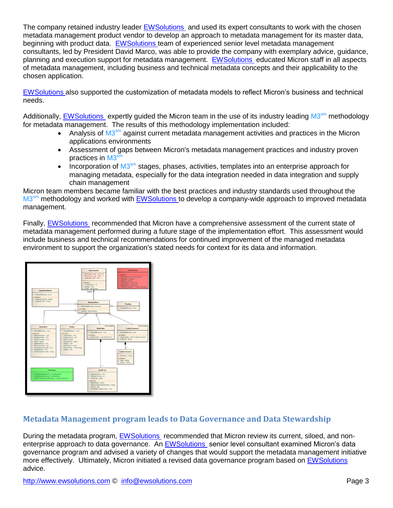The company retained industry leader [EWSolutions](http://www.ewsolutions.com/) and used its expert consultants to work with the chosen metadata management product vendor to develop an approach to metadata management for its master data, beginning with product data. [EWSolutions t](http://www.ewsolutions.com/)eam of experienced senior level metadata management consultants, led by President David Marco, was able to provide the company with exemplary advice, guidance, planning and execution support for metadata management. [EWSolutions](http://www.ewsolutions.com/) educated Micron staff in all aspects of metadata management, including business and technical metadata concepts and their applicability to the chosen application.

[EWSolutions a](http://www.ewsolutions.com/)lso supported the customization of metadata models to reflect Micron's business and technical needs.

Additionally, **EWSolutions** expertly guided the Micron team in the use of its industry leading M3<sup>sm</sup> methodology for metadata management. The results of this methodology implementation included:

- Analysis of  $M3<sup>sm</sup>$  against current metadata management activities and practices in the Micron applications environments
- Assessment of gaps between Micron's metadata management practices and industry proven practices in M3<sup>sm</sup>
- Incorporation of  $M3<sup>sm</sup>$  stages, phases, activities, templates into an enterprise approach for managing metadata, especially for the data integration needed in data integration and supply chain management

Micron team members became familiar with the best practices and industry standards used throughout the M3<sup>sm</sup> methodology and worked with **EWSolutions** to develop a company-wide approach to improved metadata management.

Finally, [EWSolutions](http://www.ewsolutions.com/) recommended that Micron have a comprehensive assessment of the current state of metadata management performed during a future stage of the implementation effort. This assessment would include business and technical recommendations for continued improvement of the managed metadata environment to support the organization's stated needs for context for its data and information.



## **Metadata Management program leads to Data Governance and Data Stewardship**

During the metadata program, [EWSolutions](http://www.ewsolutions.com/) recommended that Micron review its current, siloed, and nonenterprise approach to data governance. An [EWSolutions](http://www.ewsolutions.com/) senior level consultant examined Micron's data governance program and advised a variety of changes that would support the metadata management initiative more effectively. Ultimately, Micron initiated a revised data governance program based on [EWSolutions](http://www.ewsolutions.com/) advice.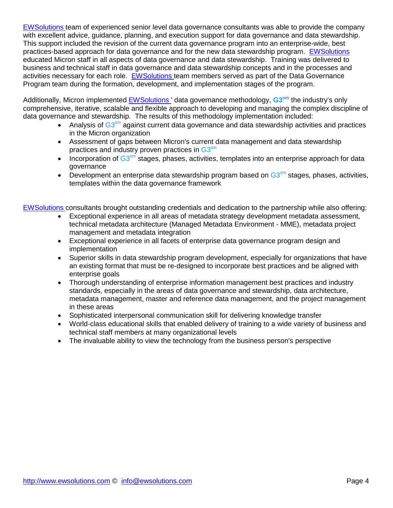[EWSolutions t](http://www.ewsolutions.com/)eam of experienced senior level data governance consultants was able to provide the company with excellent advice, guidance, planning, and execution support for data governance and data stewardship. This support included the revision of the current data governance program into an enterprise-wide, best practices-based approach for data governance and for the new data stewardship program. [EWSolutions](http://www.ewsolutions.com/)  educated Micron staff in all aspects of data governance and data stewardship. Training was delivered to business and technical staff in data governance and data stewardship concepts and in the processes and activities necessary for each role. [EWSolutions t](http://www.ewsolutions.com/)eam members served as part of the Data Governance Program team during the formation, development, and implementation stages of the program.

Additionally, Micron implemented [EWSolutions '](http://www.ewsolutions.com/) data governance methodology, **G3sm** the industry's only comprehensive, iterative, scalable and flexible approach to developing and managing the complex discipline of data governance and stewardship. The results of this methodology implementation included:

- Analysis of G3<sup>sm</sup> against current data governance and data stewardship activities and practices in the Micron organization
- Assessment of gaps between Micron's current data management and data stewardship practices and industry proven practices in  $\textsf{G3}^{\textsf{sm}}$
- Incorporation of  $G3<sup>sm</sup>$  stages, phases, activities, templates into an enterprise approach for data governance
- Development an enterprise data stewardship program based on  $G3<sup>sm</sup>$  stages, phases, activities, templates within the data governance framework

[EWSolutions c](http://www.ewsolutions.com/)onsultants brought outstanding credentials and dedication to the partnership while also offering:

- Exceptional experience in all areas of metadata strategy development metadata assessment, technical metadata architecture (Managed Metadata Environment - MME), metadata project management and metadata integration
- Exceptional experience in all facets of enterprise data governance program design and implementation
- Superior skills in data stewardship program development, especially for organizations that have an existing format that must be re-designed to incorporate best practices and be aligned with enterprise goals
- Thorough understanding of enterprise information management best practices and industry standards, especially in the areas of data governance and stewardship, data architecture, metadata management, master and reference data management, and the project management in these areas
- Sophisticated interpersonal communication skill for delivering knowledge transfer
- World-class educational skills that enabled delivery of training to a wide variety of business and technical staff members at many organizational levels
- The invaluable ability to view the technology from the business person's perspective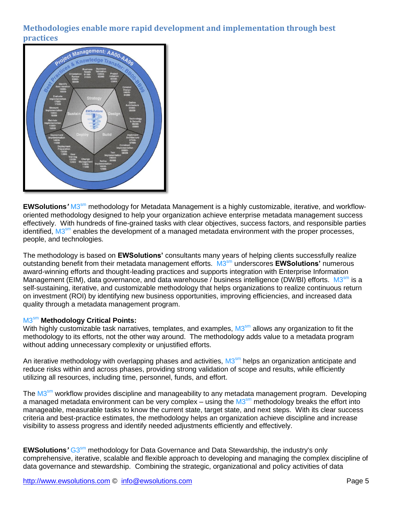## **Methodologies enable more rapid development and implementation through best practices**



EWSolutions' M3<sup>sm</sup> methodology for Metadata Management is a highly customizable, iterative, and workfloworiented methodology designed to help your organization achieve enterprise metadata management success effectively. With hundreds of fine-grained tasks with clear objectives, success factors, and responsible parties identified, M3<sup>sm</sup> enables the development of a managed metadata environment with the proper processes, people, and technologies.

The methodology is based on **EWSolutions'** consultants many years of helping clients successfully realize outstanding benefit from their metadata management efforts. M3 sm underscores **EWSolutions'** numerous award-winning efforts and thought-leading practices and supports integration with Enterprise Information Management (EIM), data governance, and data warehouse / business intelligence (DW/BI) efforts. M3<sup>sm</sup> is a self-sustaining, iterative, and customizable methodology that helps organizations to realize continuous return on investment (ROI) by identifying new business opportunities, improving efficiencies, and increased data quality through a metadata management program.

#### M3 sm **Methodology Critical Points:**

With highly customizable task narratives, templates, and examples, M3<sup>sm</sup> allows any organization to fit the methodology to its efforts, not the other way around. The methodology adds value to a metadata program without adding unnecessary complexity or unjustified efforts.

An iterative methodology with overlapping phases and activities, M3<sup>sm</sup> helps an organization anticipate and reduce risks within and across phases, providing strong validation of scope and results, while efficiently utilizing all resources, including time, personnel, funds, and effort.

The M3<sup>sm</sup> workflow provides discipline and manageability to any metadata management program. Developing a managed metadata environment can be very complex – using the M3<sup>sm</sup> methodology breaks the effort into manageable, measurable tasks to know the current state, target state, and next steps. With its clear success criteria and best-practice estimates, the methodology helps an organization achieve discipline and increase visibility to assess progress and identify needed adjustments efficiently and effectively.

EWSolutions' G3<sup>sm</sup> methodology for Data Governance and Data Stewardship, the industry's only comprehensive, iterative, scalable and flexible approach to developing and managing the complex discipline of data governance and stewardship. Combining the strategic, organizational and policy activities of data